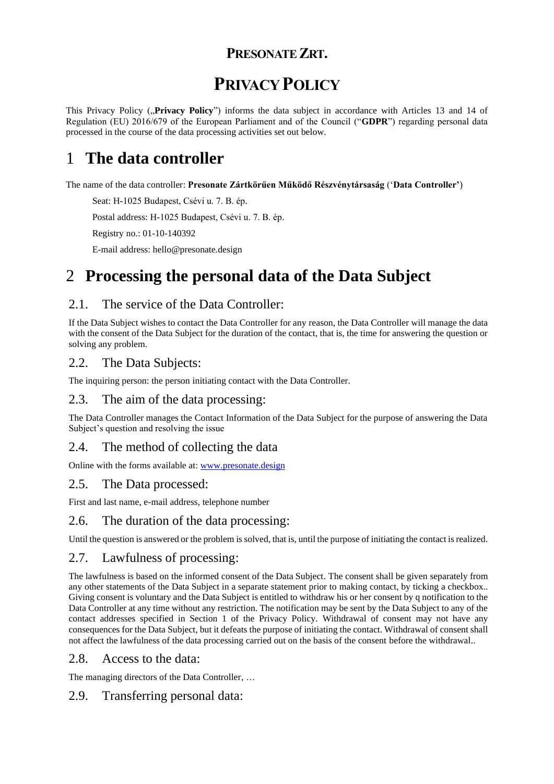## **PRESONATE ZRT.**

# **PRIVACY POLICY**

This Privacy Policy ("Privacy Policy") informs the data subject in accordance with Articles 13 and 14 of Regulation (EU) 2016/679 of the European Parliament and of the Council ("**GDPR**") regarding personal data processed in the course of the data processing activities set out below.

# 1 **The data controller**

The name of the data controller: **Presonate Zártkörűen Működő Részvénytársaság** ('**Data Controller'**)

Seat: H-1025 Budapest, Csévi u. 7. B. ép.

Postal address: H-1025 Budapest, Csévi u. 7. B. ép.

Registry no.: 01-10-140392

E-mail address: hello@presonate.design

# 2 **Processing the personal data of the Data Subject**

## 2.1. The service of the Data Controller:

If the Data Subject wishes to contact the Data Controller for any reason, the Data Controller will manage the data with the consent of the Data Subject for the duration of the contact, that is, the time for answering the question or solving any problem.

### 2.2. The Data Subjects:

The inquiring person: the person initiating contact with the Data Controller.

### 2.3. The aim of the data processing:

The Data Controller manages the Contact Information of the Data Subject for the purpose of answering the Data Subject's question and resolving the issue

## 2.4. The method of collecting the data

Online with the forms available at: [www.presonate.design](http://www.presonate.design/)

### 2.5. The Data processed:

First and last name, e-mail address, telephone number

### 2.6. The duration of the data processing:

Until the question is answered or the problem is solved, that is, until the purpose of initiating the contact is realized.

### 2.7. Lawfulness of processing:

The lawfulness is based on the informed consent of the Data Subject. The consent shall be given separately from any other statements of the Data Subject in a separate statement prior to making contact, by ticking a checkbox.. Giving consent is voluntary and the Data Subject is entitled to withdraw his or her consent by q notification to the Data Controller at any time without any restriction. The notification may be sent by the Data Subject to any of the contact addresses specified in Section 1 of the Privacy Policy. Withdrawal of consent may not have any consequences for the Data Subject, but it defeats the purpose of initiating the contact. Withdrawal of consent shall not affect the lawfulness of the data processing carried out on the basis of the consent before the withdrawal..

### 2.8. Access to the data:

The managing directors of the Data Controller, …

## 2.9. Transferring personal data: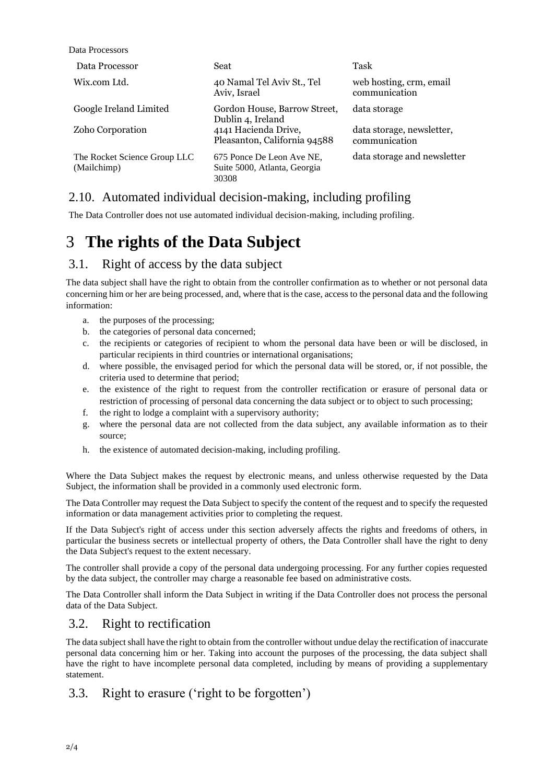Data Processors

| Data Processor                              | Seat                                                               | Task                                       |
|---------------------------------------------|--------------------------------------------------------------------|--------------------------------------------|
| Wix.com Ltd.                                | 40 Namal Tel Aviv St., Tel<br>Aviv, Israel                         | web hosting, crm, email<br>communication   |
| Google Ireland Limited                      | Gordon House, Barrow Street,<br>Dublin 4, Ireland                  | data storage                               |
| Zoho Corporation                            | 4141 Hacienda Drive,<br>Pleasanton, California 94588               | data storage, newsletter,<br>communication |
| The Rocket Science Group LLC<br>(Mailchimp) | 675 Ponce De Leon Ave NE.<br>Suite 5000, Atlanta, Georgia<br>30308 | data storage and newsletter                |

### 2.10. Automated individual decision-making, including profiling

The Data Controller does not use automated individual decision-making, including profiling.

## 3 **The rights of the Data Subject**

### 3.1. Right of access by the data subject

The data subject shall have the right to obtain from the controller confirmation as to whether or not personal data concerning him or her are being processed, and, where that is the case, access to the personal data and the following information:

- a. the purposes of the processing;
- b. the categories of personal data concerned;
- c. the recipients or categories of recipient to whom the personal data have been or will be disclosed, in particular recipients in third countries or international organisations;
- d. where possible, the envisaged period for which the personal data will be stored, or, if not possible, the criteria used to determine that period;
- e. the existence of the right to request from the controller rectification or erasure of personal data or restriction of processing of personal data concerning the data subject or to object to such processing;
- f. the right to lodge a complaint with a supervisory authority;
- g. where the personal data are not collected from the data subject, any available information as to their source;
- h. the existence of automated decision-making, including profiling.

Where the Data Subject makes the request by electronic means, and unless otherwise requested by the Data Subject, the information shall be provided in a commonly used electronic form.

The Data Controller may request the Data Subject to specify the content of the request and to specify the requested information or data management activities prior to completing the request.

If the Data Subject's right of access under this section adversely affects the rights and freedoms of others, in particular the business secrets or intellectual property of others, the Data Controller shall have the right to deny the Data Subject's request to the extent necessary.

The controller shall provide a copy of the personal data undergoing processing. For any further copies requested by the data subject, the controller may charge a reasonable fee based on administrative costs.

The Data Controller shall inform the Data Subject in writing if the Data Controller does not process the personal data of the Data Subject.

### 3.2. Right to rectification

The data subject shall have the right to obtain from the controller without undue delay the rectification of inaccurate personal data concerning him or her. Taking into account the purposes of the processing, the data subject shall have the right to have incomplete personal data completed, including by means of providing a supplementary statement.

### 3.3. Right to erasure ('right to be forgotten')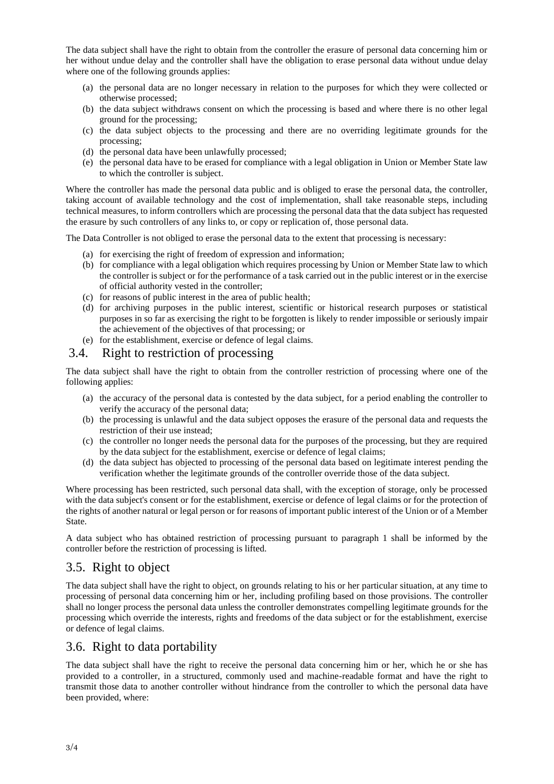The data subject shall have the right to obtain from the controller the erasure of personal data concerning him or her without undue delay and the controller shall have the obligation to erase personal data without undue delay where one of the following grounds applies:

- (a) the personal data are no longer necessary in relation to the purposes for which they were collected or otherwise processed;
- (b) the data subject withdraws consent on which the processing is based and where there is no other legal ground for the processing;
- (c) the data subject objects to the processing and there are no overriding legitimate grounds for the processing;
- (d) the personal data have been unlawfully processed;
- (e) the personal data have to be erased for compliance with a legal obligation in Union or Member State law to which the controller is subject.

Where the controller has made the personal data public and is obliged to erase the personal data, the controller, taking account of available technology and the cost of implementation, shall take reasonable steps, including technical measures, to inform controllers which are processing the personal data that the data subject has requested the erasure by such controllers of any links to, or copy or replication of, those personal data.

The Data Controller is not obliged to erase the personal data to the extent that processing is necessary:

- (a) for exercising the right of freedom of expression and information;
- (b) for compliance with a legal obligation which requires processing by Union or Member State law to which the controller is subject or for the performance of a task carried out in the public interest or in the exercise of official authority vested in the controller;
- (c) for reasons of public interest in the area of public health;
- (d) for archiving purposes in the public interest, scientific or historical research purposes or statistical purposes in so far as exercising the right to be forgotten is likely to render impossible or seriously impair the achievement of the objectives of that processing; or
- (e) for the establishment, exercise or defence of legal claims.

#### 3.4. Right to restriction of processing

The data subject shall have the right to obtain from the controller restriction of processing where one of the following applies:

- (a) the accuracy of the personal data is contested by the data subject, for a period enabling the controller to verify the accuracy of the personal data;
- (b) the processing is unlawful and the data subject opposes the erasure of the personal data and requests the restriction of their use instead;
- (c) the controller no longer needs the personal data for the purposes of the processing, but they are required by the data subject for the establishment, exercise or defence of legal claims;
- (d) the data subject has objected to processing of the personal data based on legitimate interest pending the verification whether the legitimate grounds of the controller override those of the data subject.

Where processing has been restricted, such personal data shall, with the exception of storage, only be processed with the data subject's consent or for the establishment, exercise or defence of legal claims or for the protection of the rights of another natural or legal person or for reasons of important public interest of the Union or of a Member State.

A data subject who has obtained restriction of processing pursuant to paragraph 1 shall be informed by the controller before the restriction of processing is lifted.

### 3.5. Right to object

The data subject shall have the right to object, on grounds relating to his or her particular situation, at any time to processing of personal data concerning him or her, including profiling based on those provisions. The controller shall no longer process the personal data unless the controller demonstrates compelling legitimate grounds for the processing which override the interests, rights and freedoms of the data subject or for the establishment, exercise or defence of legal claims.

### 3.6. Right to data portability

The data subject shall have the right to receive the personal data concerning him or her, which he or she has provided to a controller, in a structured, commonly used and machine-readable format and have the right to transmit those data to another controller without hindrance from the controller to which the personal data have been provided, where: